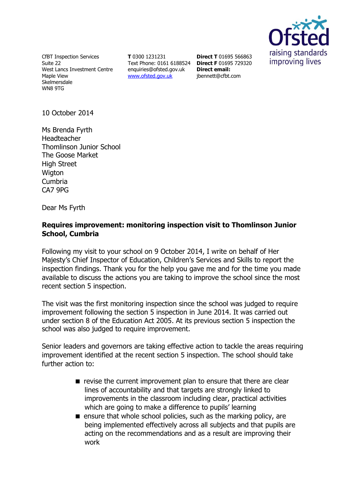

CfBT Inspection Services Suite 22 West Lancs Investment Centre Maple View **Skelmersdale** WN8 9TG

**T** 0300 1231231 Text Phone: 0161 6188524 **Direct F** 01695 729320 [enquiries@ofsted.gov.uk](http://mailto:enquiries@ofsted.gov.uk/) [www.ofsted.gov.uk](http://www.ofsted.gov.uk/)

**Direct T** 01695 566863 **Direct email:**  [jbennett@cfbt.com](file:///C:/Users/liwaskow/AppData/QMS%20Doc%20Control/Ofsted%20Zip%20Files/2.%20CURRENT%20(PLEASE%20DO%20NOT%20AMEND)/S8/Current%20s8%20docs/s8%20Inspection%20Instruments/s8_inspection_instruments/S8%20RI%20templates%20Sept%202014(RP180914%201545)/jbennett@cfbt.com)

10 October 2014

Ms Brenda Fyrth Headteacher Thomlinson Junior School The Goose Market High Street **Wigton** Cumbria CA7 9PG

Dear Ms Fyrth

## **Requires improvement: monitoring inspection visit to Thomlinson Junior School, Cumbria**

Following my visit to your school on 9 October 2014, I write on behalf of Her Majesty's Chief Inspector of Education, Children's Services and Skills to report the inspection findings. Thank you for the help you gave me and for the time you made available to discuss the actions you are taking to improve the school since the most recent section 5 inspection.

The visit was the first monitoring inspection since the school was judged to require improvement following the section 5 inspection in June 2014. It was carried out under section 8 of the Education Act 2005. At its previous section 5 inspection the school was also judged to require improvement.

Senior leaders and governors are taking effective action to tackle the areas requiring improvement identified at the recent section 5 inspection. The school should take further action to:

- $\blacksquare$  revise the current improvement plan to ensure that there are clear lines of accountability and that targets are strongly linked to improvements in the classroom including clear, practical activities which are going to make a difference to pupils' learning
- $\blacksquare$  ensure that whole school policies, such as the marking policy, are being implemented effectively across all subjects and that pupils are acting on the recommendations and as a result are improving their work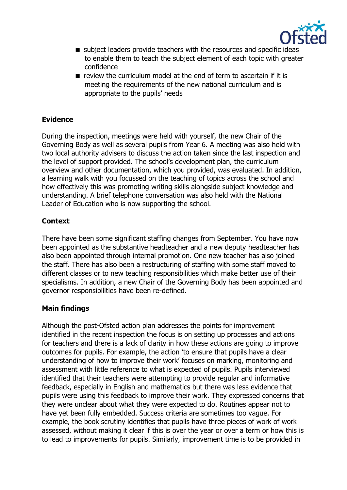

- subject leaders provide teachers with the resources and specific ideas to enable them to teach the subject element of each topic with greater confidence
- $\blacksquare$  review the curriculum model at the end of term to ascertain if it is meeting the requirements of the new national curriculum and is appropriate to the pupils' needs

# **Evidence**

During the inspection, meetings were held with yourself, the new Chair of the Governing Body as well as several pupils from Year 6. A meeting was also held with two local authority advisers to discuss the action taken since the last inspection and the level of support provided. The school's development plan, the curriculum overview and other documentation, which you provided, was evaluated. In addition, a learning walk with you focussed on the teaching of topics across the school and how effectively this was promoting writing skills alongside subject knowledge and understanding. A brief telephone conversation was also held with the National Leader of Education who is now supporting the school.

### **Context**

There have been some significant staffing changes from September. You have now been appointed as the substantive headteacher and a new deputy headteacher has also been appointed through internal promotion. One new teacher has also joined the staff. There has also been a restructuring of staffing with some staff moved to different classes or to new teaching responsibilities which make better use of their specialisms. In addition, a new Chair of the Governing Body has been appointed and governor responsibilities have been re-defined.

### **Main findings**

Although the post-Ofsted action plan addresses the points for improvement identified in the recent inspection the focus is on setting up processes and actions for teachers and there is a lack of clarity in how these actions are going to improve outcomes for pupils. For example, the action 'to ensure that pupils have a clear understanding of how to improve their work' focuses on marking, monitoring and assessment with little reference to what is expected of pupils. Pupils interviewed identified that their teachers were attempting to provide regular and informative feedback, especially in English and mathematics but there was less evidence that pupils were using this feedback to improve their work. They expressed concerns that they were unclear about what they were expected to do. Routines appear not to have yet been fully embedded. Success criteria are sometimes too vague. For example, the book scrutiny identifies that pupils have three pieces of work of work assessed, without making it clear if this is over the year or over a term or how this is to lead to improvements for pupils. Similarly, improvement time is to be provided in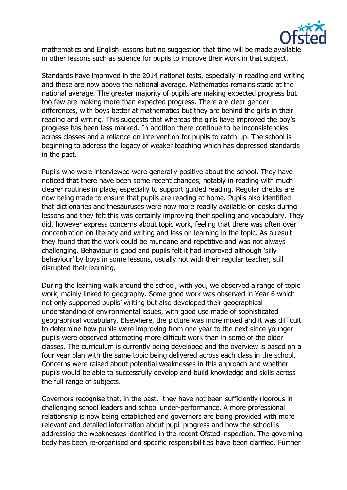

mathematics and English lessons but no suggestion that time will be made available in other lessons such as science for pupils to improve their work in that subject.

Standards have improved in the 2014 national tests, especially in reading and writing and these are now above the national average. Mathematics remains static at the national average. The greater majority of pupils are making expected progress but too few are making more than expected progress. There are clear gender differences, with boys better at mathematics but they are behind the girls in their reading and writing. This suggests that whereas the girls have improved the boy's progress has been less marked. In addition there continue to be inconsistencies across classes and a reliance on intervention for pupils to catch up. The school is beginning to address the legacy of weaker teaching which has depressed standards in the past.

Pupils who were interviewed were generally positive about the school. They have noticed that there have been some recent changes, notably in reading with much clearer routines in place, especially to support guided reading. Regular checks are now being made to ensure that pupils are reading at home. Pupils also identified that dictionaries and thesauruses were now more readily available on desks during lessons and they felt this was certainly improving their spelling and vocabulary. They did, however express concerns about topic work, feeling that there was often over concentration on literacy and writing and less on learning in the topic. As a result they found that the work could be mundane and repetitive and was not always challenging. Behaviour is good and pupils felt it had improved although 'silly behaviour' by boys in some lessons, usually not with their regular teacher, still disrupted their learning.

During the learning walk around the school, with you, we observed a range of topic work, mainly linked to geography. Some good work was observed in Year 6 which not only supported pupils' writing but also developed their geographical understanding of environmental issues, with good use made of sophisticated geographical vocabulary. Elsewhere, the picture was more mixed and it was difficult to determine how pupils were improving from one year to the next since younger pupils were observed attempting more difficult work than in some of the older classes. The curriculum is currently being developed and the overview is based on a four year plan with the same topic being delivered across each class in the school. Concerns were raised about potential weaknesses in this approach and whether pupils would be able to successfully develop and build knowledge and skills across the full range of subjects.

Governors recognise that, in the past, they have not been sufficiently rigorous in challenging school leaders and school under-performance. A more professional relationship is now being established and governors are being provided with more relevant and detailed information about pupil progress and how the school is addressing the weaknesses identified in the recent Ofsted inspection. The governing body has been re-organised and specific responsibilities have been clarified. Further